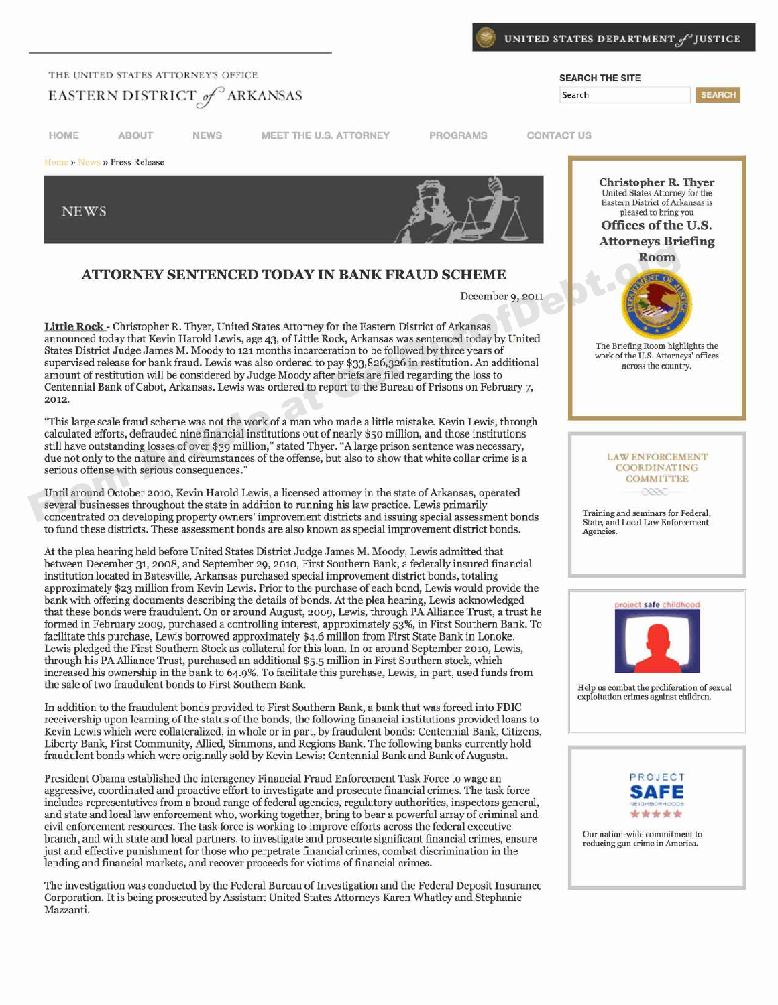

#### **THE UNITED STATES ATTORNEY'S OFFICE EXAMPLE SEARCH THE SITE**

## EASTERN DISTRICT of ARKANSAS

**HOME ABOUT NEWS MEET THE U.S. ATTORNEY PROGRAMS CONTACT US**

**NEWS** 

Home » News » Press Release



### **A TTO R N E Y SE N T E N C E D T O D A Y IN BANK FR A U D SCHEM E**

December 9, **2011**

**Little Rock —** Christopher R. Thyer, United States Attorney for the Eastern District of Arkansas announced today that Kevin Harold Lewis, age 43, of Little Rock, Arkansas was sentenced today by United States District Judge James M. Moody to 121 months incarceration to be followed by three years of The Briefing Room highlights the work of the U.S. Attorneys' offices supervised release for bank fraud. Lewis was also ordered to pay \$33,826,326 in restitution. An additional across the country. amount of restitution will be considered by Judge Moody after briefs are filed regarding the loss to Centennial Bank of Cabot, Arkansas. Lewis was ordered to report to the Bureau of Prisons on February 7, **2012.** From Article Rock - Christopher R. Thyer, United States Attorney for the Eastern District of Arkansas December 9, 2011<br>
Matte Rock - Christopher R. Thyer, United States Attorney for the Eastern District of Arkansas<br>
Share

"This large scale fraud scheme was not the work of a man who made a little mistake. Kevin Lewis, through calculated efforts, defrauded nine financial institutions out of nearly \$5o million, and those institutions still have outstanding losses of over \$39 million," stated Thyer. "A large prison sentence was necessary, due not only to the nature and circumstances of the offense, but also to show that white collar crime is a **I.AW ENFORCEMENT**<br>
coordinations of the consequences  $\ddot{r}$ serious offense with serious consequences.'

Until around October 2oto, Kevin Harold Lewis, a licensed attorney in the state of Arkansas, operated several businesses throughout the state in addition to running his law practice. Lewis primarily concentrated on developing property owners' improvement districts and issuing special assessment bonds Training and seminars for Federal,<br>State, and Local Law Enforcement to fund these districts. These assessment bonds are also known as special improvement district bonds.

At the plea hearing held before United States District Judge James M. Moody, Lewis admitted that between December 31, 2oo8, and September 29, 2oto, First Southern Bank, a federally insured financial institution located in Batesville, Arkansas purchased special improvement district bonds, totaling approximately \$23 million from Kevin Lewis. Prior to the purchase of each bond, Lewis would provide the bank with offering documents describing the details of bonds. At the plea hearing, Lewis acknowledged **Safe of the ordient safe of** that these bonds were fraudulent. On or around August, 2oo9, Lewis, through PA Alliance Trust, a trust he formed in February 2009, purchased a controlling interest, approximately 53%, in First Southern Bank. To facilitate this purchase, Lewis borrowed approximately \$4.6 million from First State Bank in Lonoke. Lewis pledged the First Southern Stock as collateral for this loan. In or around September 2010, Lewis, through his PA Alliance Trust, purchased an additional \$5.5 million in First Southern stock, which increased his ownership in the bank to 64.9%. To facilitate this purchase, Lewis, in part, used funds from the sale of two fraudulent bonds to First Southern Bank. Help us combat the proliferation of sexual

In addition to the fraudulent bonds provided to First Southern Bank, a bank that was forced into FDIC receivership upon learning of the status of the bonds, the following financial institutions provided loans to Kevin Lewis which were collateralized, in whole or in part, by fraudulent bonds: Centennial Bank, Citizens, Liberty Bank, First Community, Allied, Simmons, and Regions Bank. The following banks currently hold fraudulent bonds which were originally sold by Kevin Lewis: Centennial Bank and Bank of Augusta.

President Obama established the interagency Financial Fraud Enforcement Task Force to wage an PROJECT aggressive, coordinated and proactive effort to investigate and prosecute financial crimes. The task force includes representatives from a broad range of federal agencies, regulatory authorities, inspectors general, and state and local law enforcement who, working together, bring to bear a powerful array of criminal and civil enforcement resources. The task force is working to improve efforts across the federal executive branch, and with state and local partners, to investigate and prosecute significant financial crimes, ensure our nation-wide commitment to reducing gun crime in America. just and effective punishment for those who perpetrate financial crimes, combat discrimination in the lending and financial markets, and recover proceeds for victims of financial crimes.

The investigation was conducted by the Federal Bureau of Investigation and the Federal Deposit Insurance Corporation. It is being prosecuted by Assistant United States Attorneys Karen Whatley and Stephanie Mazzanti.



**SEARCH** 

# **(:()MMITTEE**



exploitation crimes against children.